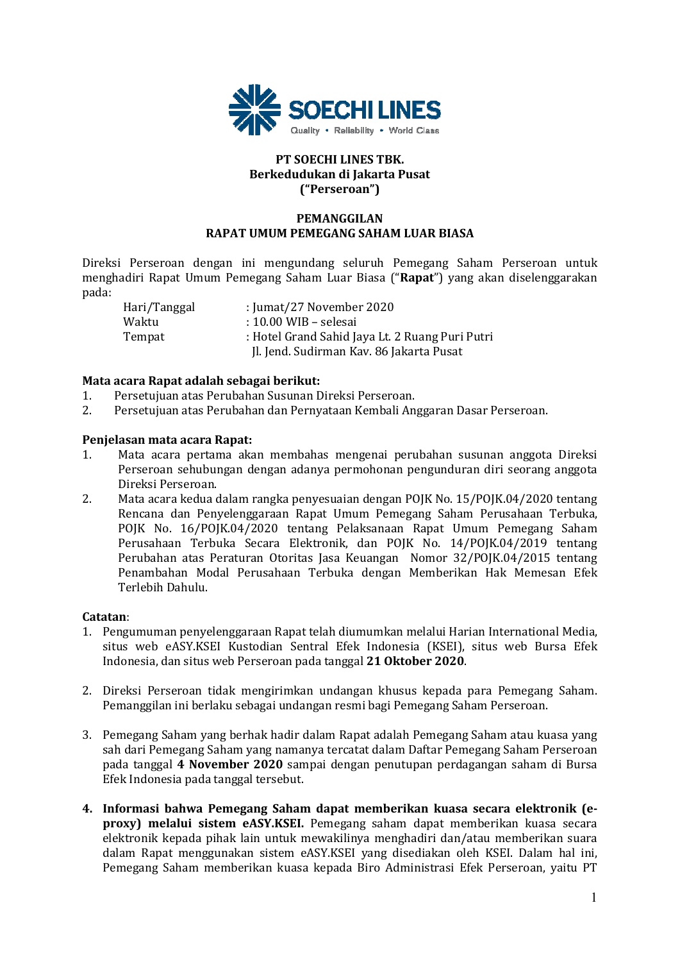

# **PT SOECHI LINES TBK. Berkedudukan di Jakarta Pusat ("Perseroan")**

# **PEMANGGILAN RAPAT UMUM PEMEGANG SAHAM LUAR BIASA**

Direksi Perseroan dengan ini mengundang seluruh Pemegang Saham Perseroan untuk menghadiri Rapat Umum Pemegang Saham Luar Biasa ("**Rapat**") yang akan diselenggarakan pada:

 Hari/Tanggal : Jumat/27 November 2020 Waktu : 10.00 WIB – selesai Tempat : Hotel Grand Sahid Jaya Lt. 2 Ruang Puri Putri Jl. Jend. Sudirman Kav. 86 Jakarta Pusat

# **Mata acara Rapat adalah sebagai berikut:**

- 1. Persetujuan atas Perubahan Susunan Direksi Perseroan.
- 2. Persetujuan atas Perubahan dan Pernyataan Kembali Anggaran Dasar Perseroan.

# **Penjelasan mata acara Rapat:**

- 1. Mata acara pertama akan membahas mengenai perubahan susunan anggota Direksi Perseroan sehubungan dengan adanya permohonan pengunduran diri seorang anggota Direksi Perseroan.
- 2. Mata acara kedua dalam rangka penyesuaian dengan POJK No. 15/POJK.04/2020 tentang Rencana dan Penyelenggaraan Rapat Umum Pemegang Saham Perusahaan Terbuka, POJK No. 16/POJK.04/2020 tentang Pelaksanaan Rapat Umum Pemegang Saham Perusahaan Terbuka Secara Elektronik, dan POJK No. 14/POJK.04/2019 tentang Perubahan atas Peraturan Otoritas Jasa Keuangan Nomor 32/POJK.04/2015 tentang Penambahan Modal Perusahaan Terbuka dengan Memberikan Hak Memesan Efek Terlebih Dahulu.

### **Catatan**:

- 1. Pengumuman penyelenggaraan Rapat telah diumumkan melalui Harian International Media, situs web eASY.KSEI Kustodian Sentral Efek Indonesia (KSEI), situs web Bursa Efek Indonesia, dan situs web Perseroan pada tanggal **21 Oktober 2020**.
- 2. Direksi Perseroan tidak mengirimkan undangan khusus kepada para Pemegang Saham. Pemanggilan ini berlaku sebagai undangan resmi bagi Pemegang Saham Perseroan.
- 3. Pemegang Saham yang berhak hadir dalam Rapat adalah Pemegang Saham atau kuasa yang sah dari Pemegang Saham yang namanya tercatat dalam Daftar Pemegang Saham Perseroan pada tanggal **4 November 2020** sampai dengan penutupan perdagangan saham di Bursa Efek Indonesia pada tanggal tersebut.
- **4. Informasi bahwa Pemegang Saham dapat memberikan kuasa secara elektronik (eproxy) melalui sistem eASY.KSEI.** Pemegang saham dapat memberikan kuasa secara elektronik kepada pihak lain untuk mewakilinya menghadiri dan/atau memberikan suara dalam Rapat menggunakan sistem eASY.KSEI yang disediakan oleh KSEI. Dalam hal ini, Pemegang Saham memberikan kuasa kepada Biro Administrasi Efek Perseroan, yaitu PT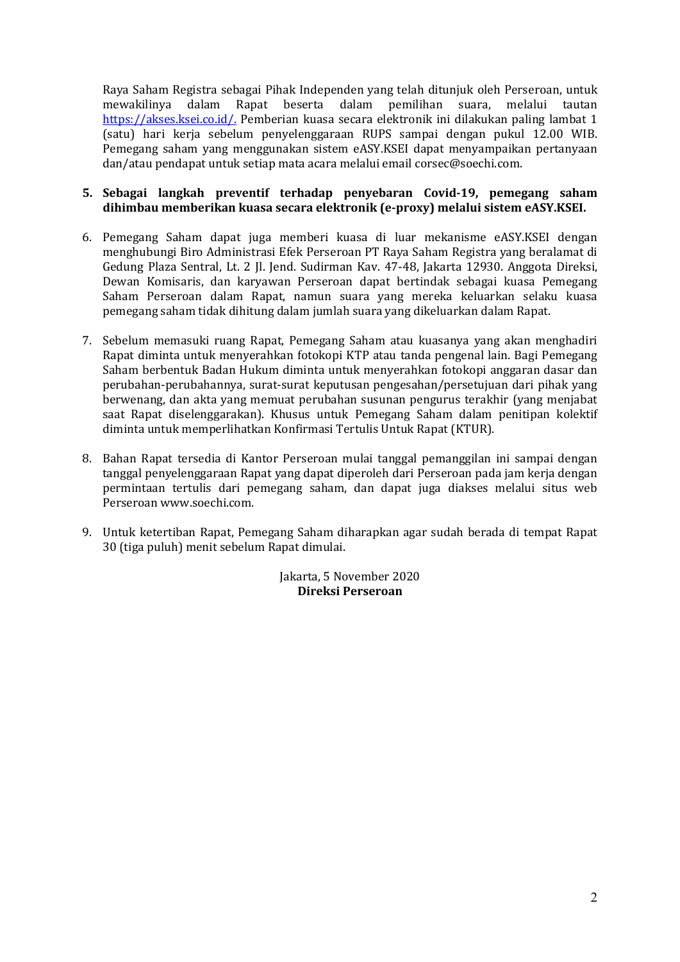Raya Saham Registra sebagai Pihak Independen yang telah ditunjuk oleh Perseroan, untuk<br>mewakilinya dalam Rapat beserta dalam pemilihan suara, melalui tautan mewakilinya dalam Rapat beserta dalam pemilihan suara, melalui tautan https://akses.ksei.co.id/. Pemberian kuasa secara elektronik ini dilakukan paling lambat 1 (satu) hari kerja sebelum penyelenggaraan RUPS sampai dengan pukul 12.00 WIB. Pemegang saham yang menggunakan sistem eASY.KSEI dapat menyampaikan pertanyaan dan/atau pendapat untuk setiap mata acara melalui email corsec@soechi.com.

# **5. Sebagai langkah preventif terhadap penyebaran Covid-19, pemegang saham dihimbau memberikan kuasa secara elektronik (e-proxy) melalui sistem eASY.KSEI.**

- 6. Pemegang Saham dapat juga memberi kuasa di luar mekanisme eASY.KSEI dengan menghubungi Biro Administrasi Efek Perseroan PT Raya Saham Registra yang beralamat di Gedung Plaza Sentral, Lt. 2 Jl. Jend. Sudirman Kav. 47-48, Jakarta 12930. Anggota Direksi, Dewan Komisaris, dan karyawan Perseroan dapat bertindak sebagai kuasa Pemegang Saham Perseroan dalam Rapat, namun suara yang mereka keluarkan selaku kuasa pemegang saham tidak dihitung dalam jumlah suara yang dikeluarkan dalam Rapat.
- 7. Sebelum memasuki ruang Rapat, Pemegang Saham atau kuasanya yang akan menghadiri Rapat diminta untuk menyerahkan fotokopi KTP atau tanda pengenal lain. Bagi Pemegang Saham berbentuk Badan Hukum diminta untuk menyerahkan fotokopi anggaran dasar dan perubahan-perubahannya, surat-surat keputusan pengesahan/persetujuan dari pihak yang berwenang, dan akta yang memuat perubahan susunan pengurus terakhir (yang menjabat saat Rapat diselenggarakan). Khusus untuk Pemegang Saham dalam penitipan kolektif diminta untuk memperlihatkan Konfirmasi Tertulis Untuk Rapat (KTUR).
- 8. Bahan Rapat tersedia di Kantor Perseroan mulai tanggal pemanggilan ini sampai dengan tanggal penyelenggaraan Rapat yang dapat diperoleh dari Perseroan pada jam kerja dengan permintaan tertulis dari pemegang saham, dan dapat juga diakses melalui situs web Perseroan www.soechi.com.
- 9. Untuk ketertiban Rapat, Pemegang Saham diharapkan agar sudah berada di tempat Rapat 30 (tiga puluh) menit sebelum Rapat dimulai.

Jakarta, 5 November 2020 **Direksi Perseroan**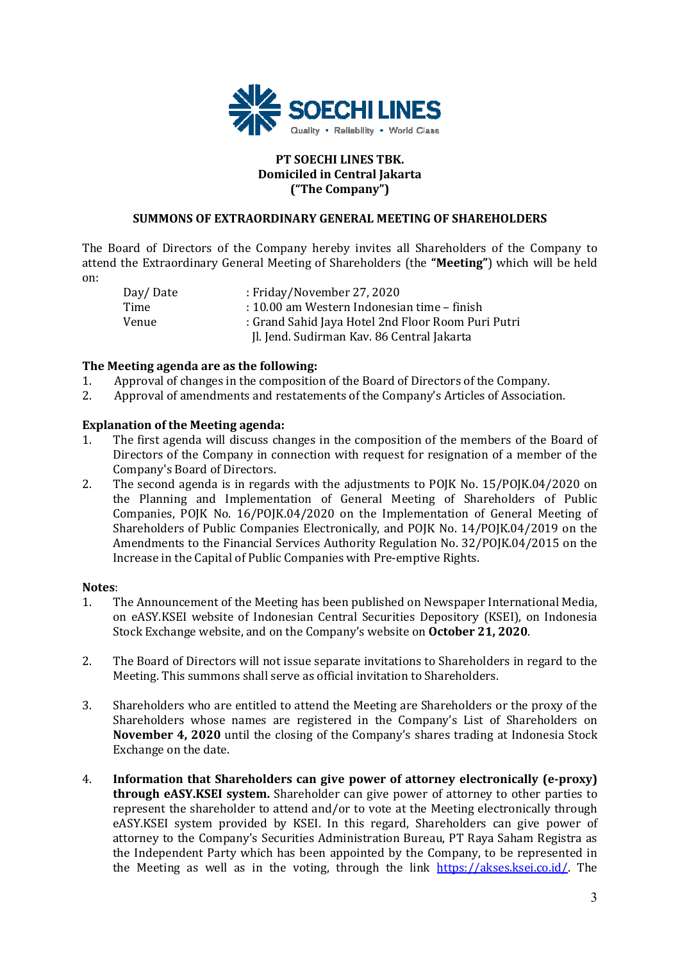

### **PT SOECHI LINES TBK. Domiciled in Central Jakarta ("The Company")**

### **SUMMONS OF EXTRAORDINARY GENERAL MEETING OF SHAREHOLDERS**

The Board of Directors of the Company hereby invites all Shareholders of the Company to attend the Extraordinary General Meeting of Shareholders (the **"Meeting"**) which will be held on:

 Day/ Date : Friday/November 27, 2020 Time : 10.00 am Western Indonesian time – finish Venue : Grand Sahid Jaya Hotel 2nd Floor Room Puri Putri Jl. Jend. Sudirman Kav. 86 Central Jakarta

### **The Meeting agenda are as the following:**

- 1. Approval of changes in the composition of the Board of Directors of the Company.
- 2. Approval of amendments and restatements of the Company's Articles of Association.

# **Explanation of the Meeting agenda:**

- 1. The first agenda will discuss changes in the composition of the members of the Board of Directors of the Company in connection with request for resignation of a member of the Company's Board of Directors.
- 2. The second agenda is in regards with the adjustments to POJK No. 15/POJK.04/2020 on the Planning and Implementation of General Meeting of Shareholders of Public Companies, POJK No. 16/POJK.04/2020 on the Implementation of General Meeting of Shareholders of Public Companies Electronically, and POJK No. 14/POJK.04/2019 on the Amendments to the Financial Services Authority Regulation No. 32/POJK.04/2015 on the Increase in the Capital of Public Companies with Pre-emptive Rights.

### **Notes**:

- 1. The Announcement of the Meeting has been published on Newspaper International Media, on eASY.KSEI website of Indonesian Central Securities Depository (KSEI), on Indonesia Stock Exchange website, and on the Company's website on **October 21, 2020**.
- 2. The Board of Directors will not issue separate invitations to Shareholders in regard to the Meeting. This summons shall serve as official invitation to Shareholders.
- 3. Shareholders who are entitled to attend the Meeting are Shareholders or the proxy of the Shareholders whose names are registered in the Company's List of Shareholders on **November 4, 2020** until the closing of the Company's shares trading at Indonesia Stock Exchange on the date.
- 4. **Information that Shareholders can give power of attorney electronically (e-proxy) through eASY.KSEI system.** Shareholder can give power of attorney to other parties to represent the shareholder to attend and/or to vote at the Meeting electronically through eASY.KSEI system provided by KSEI. In this regard, Shareholders can give power of attorney to the Company's Securities Administration Bureau, PT Raya Saham Registra as the Independent Party which has been appointed by the Company, to be represented in the Meeting as well as in the voting, through the link https://akses.ksei.co.id/. The